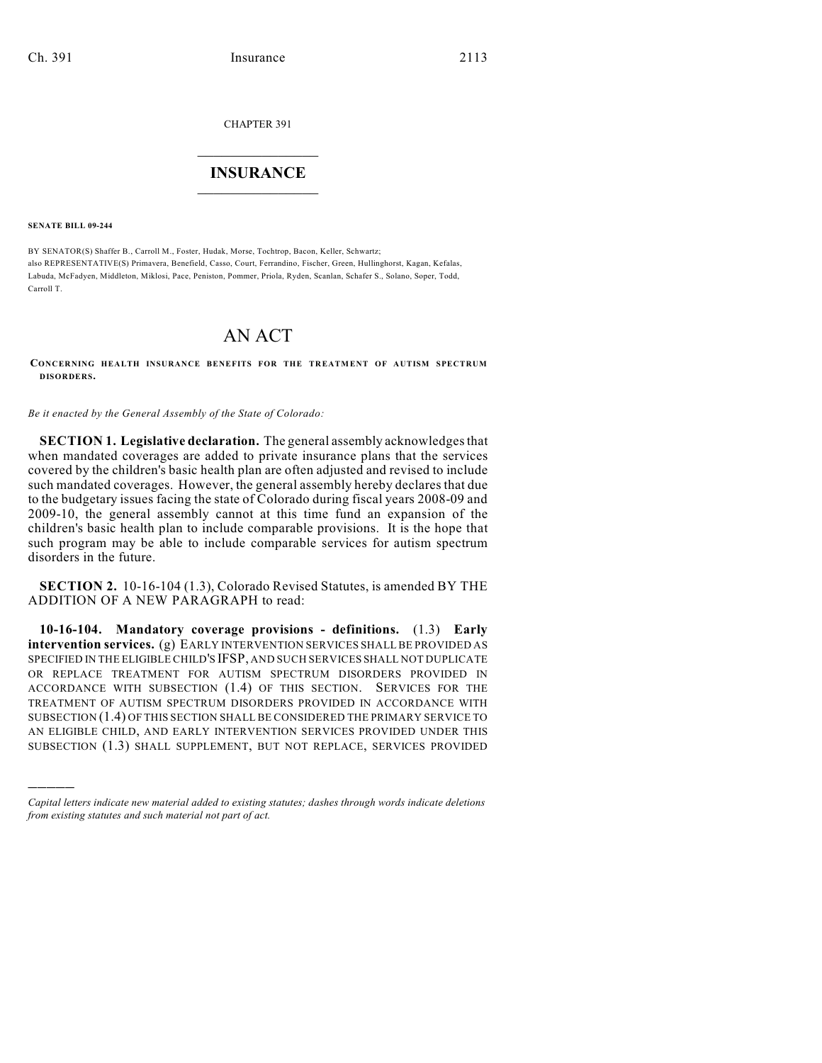CHAPTER 391

# $\overline{\phantom{a}}$  . The set of the set of the set of the set of the set of the set of the set of the set of the set of the set of the set of the set of the set of the set of the set of the set of the set of the set of the set o **INSURANCE**  $\frac{1}{2}$  ,  $\frac{1}{2}$  ,  $\frac{1}{2}$  ,  $\frac{1}{2}$  ,  $\frac{1}{2}$  ,  $\frac{1}{2}$  ,  $\frac{1}{2}$

**SENATE BILL 09-244**

)))))

BY SENATOR(S) Shaffer B., Carroll M., Foster, Hudak, Morse, Tochtrop, Bacon, Keller, Schwartz; also REPRESENTATIVE(S) Primavera, Benefield, Casso, Court, Ferrandino, Fischer, Green, Hullinghorst, Kagan, Kefalas, Labuda, McFadyen, Middleton, Miklosi, Pace, Peniston, Pommer, Priola, Ryden, Scanlan, Schafer S., Solano, Soper, Todd, Carroll T.

## AN ACT

**CONCERNING HEALTH INSURANCE BENEFITS FOR THE TREATMENT OF AUTISM SPECTRUM DISORDERS.**

*Be it enacted by the General Assembly of the State of Colorado:*

**SECTION 1. Legislative declaration.** The general assembly acknowledges that when mandated coverages are added to private insurance plans that the services covered by the children's basic health plan are often adjusted and revised to include such mandated coverages. However, the general assembly hereby declares that due to the budgetary issues facing the state of Colorado during fiscal years 2008-09 and 2009-10, the general assembly cannot at this time fund an expansion of the children's basic health plan to include comparable provisions. It is the hope that such program may be able to include comparable services for autism spectrum disorders in the future.

**SECTION 2.** 10-16-104 (1.3), Colorado Revised Statutes, is amended BY THE ADDITION OF A NEW PARAGRAPH to read:

**10-16-104. Mandatory coverage provisions - definitions.** (1.3) **Early intervention services.** (g) EARLY INTERVENTION SERVICES SHALL BE PROVIDED AS SPECIFIED IN THE ELIGIBLE CHILD'S IFSP, AND SUCH SERVICES SHALL NOT DUPLICATE OR REPLACE TREATMENT FOR AUTISM SPECTRUM DISORDERS PROVIDED IN ACCORDANCE WITH SUBSECTION (1.4) OF THIS SECTION. SERVICES FOR THE TREATMENT OF AUTISM SPECTRUM DISORDERS PROVIDED IN ACCORDANCE WITH SUBSECTION (1.4) OF THIS SECTION SHALL BE CONSIDERED THE PRIMARY SERVICE TO AN ELIGIBLE CHILD, AND EARLY INTERVENTION SERVICES PROVIDED UNDER THIS SUBSECTION (1.3) SHALL SUPPLEMENT, BUT NOT REPLACE, SERVICES PROVIDED

*Capital letters indicate new material added to existing statutes; dashes through words indicate deletions from existing statutes and such material not part of act.*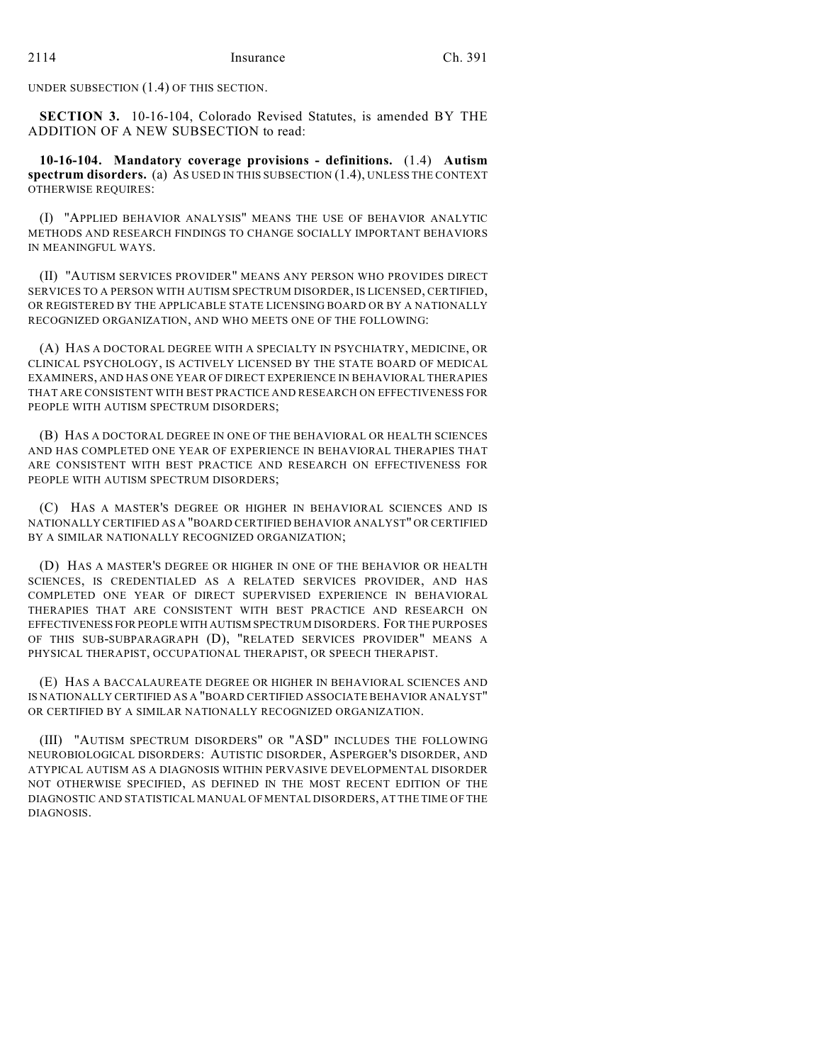UNDER SUBSECTION (1.4) OF THIS SECTION.

**SECTION 3.** 10-16-104, Colorado Revised Statutes, is amended BY THE ADDITION OF A NEW SUBSECTION to read:

**10-16-104. Mandatory coverage provisions - definitions.** (1.4) **Autism spectrum disorders.** (a) AS USED IN THIS SUBSECTION (1.4), UNLESS THE CONTEXT OTHERWISE REQUIRES:

(I) "APPLIED BEHAVIOR ANALYSIS" MEANS THE USE OF BEHAVIOR ANALYTIC METHODS AND RESEARCH FINDINGS TO CHANGE SOCIALLY IMPORTANT BEHAVIORS IN MEANINGFUL WAYS.

(II) "AUTISM SERVICES PROVIDER" MEANS ANY PERSON WHO PROVIDES DIRECT SERVICES TO A PERSON WITH AUTISM SPECTRUM DISORDER, IS LICENSED, CERTIFIED, OR REGISTERED BY THE APPLICABLE STATE LICENSING BOARD OR BY A NATIONALLY RECOGNIZED ORGANIZATION, AND WHO MEETS ONE OF THE FOLLOWING:

(A) HAS A DOCTORAL DEGREE WITH A SPECIALTY IN PSYCHIATRY, MEDICINE, OR CLINICAL PSYCHOLOGY, IS ACTIVELY LICENSED BY THE STATE BOARD OF MEDICAL EXAMINERS, AND HAS ONE YEAR OF DIRECT EXPERIENCE IN BEHAVIORAL THERAPIES THAT ARE CONSISTENT WITH BEST PRACTICE AND RESEARCH ON EFFECTIVENESS FOR PEOPLE WITH AUTISM SPECTRUM DISORDERS;

(B) HAS A DOCTORAL DEGREE IN ONE OF THE BEHAVIORAL OR HEALTH SCIENCES AND HAS COMPLETED ONE YEAR OF EXPERIENCE IN BEHAVIORAL THERAPIES THAT ARE CONSISTENT WITH BEST PRACTICE AND RESEARCH ON EFFECTIVENESS FOR PEOPLE WITH AUTISM SPECTRUM DISORDERS;

(C) HAS A MASTER'S DEGREE OR HIGHER IN BEHAVIORAL SCIENCES AND IS NATIONALLY CERTIFIED AS A "BOARD CERTIFIED BEHAVIOR ANALYST" OR CERTIFIED BY A SIMILAR NATIONALLY RECOGNIZED ORGANIZATION;

(D) HAS A MASTER'S DEGREE OR HIGHER IN ONE OF THE BEHAVIOR OR HEALTH SCIENCES, IS CREDENTIALED AS A RELATED SERVICES PROVIDER, AND HAS COMPLETED ONE YEAR OF DIRECT SUPERVISED EXPERIENCE IN BEHAVIORAL THERAPIES THAT ARE CONSISTENT WITH BEST PRACTICE AND RESEARCH ON EFFECTIVENESS FOR PEOPLE WITH AUTISM SPECTRUM DISORDERS. FOR THE PURPOSES OF THIS SUB-SUBPARAGRAPH (D), "RELATED SERVICES PROVIDER" MEANS A PHYSICAL THERAPIST, OCCUPATIONAL THERAPIST, OR SPEECH THERAPIST.

(E) HAS A BACCALAUREATE DEGREE OR HIGHER IN BEHAVIORAL SCIENCES AND IS NATIONALLY CERTIFIED AS A "BOARD CERTIFIED ASSOCIATE BEHAVIOR ANALYST" OR CERTIFIED BY A SIMILAR NATIONALLY RECOGNIZED ORGANIZATION.

(III) "AUTISM SPECTRUM DISORDERS" OR "ASD" INCLUDES THE FOLLOWING NEUROBIOLOGICAL DISORDERS: AUTISTIC DISORDER, ASPERGER'S DISORDER, AND ATYPICAL AUTISM AS A DIAGNOSIS WITHIN PERVASIVE DEVELOPMENTAL DISORDER NOT OTHERWISE SPECIFIED, AS DEFINED IN THE MOST RECENT EDITION OF THE DIAGNOSTIC AND STATISTICAL MANUAL OF MENTAL DISORDERS, AT THE TIME OF THE DIAGNOSIS.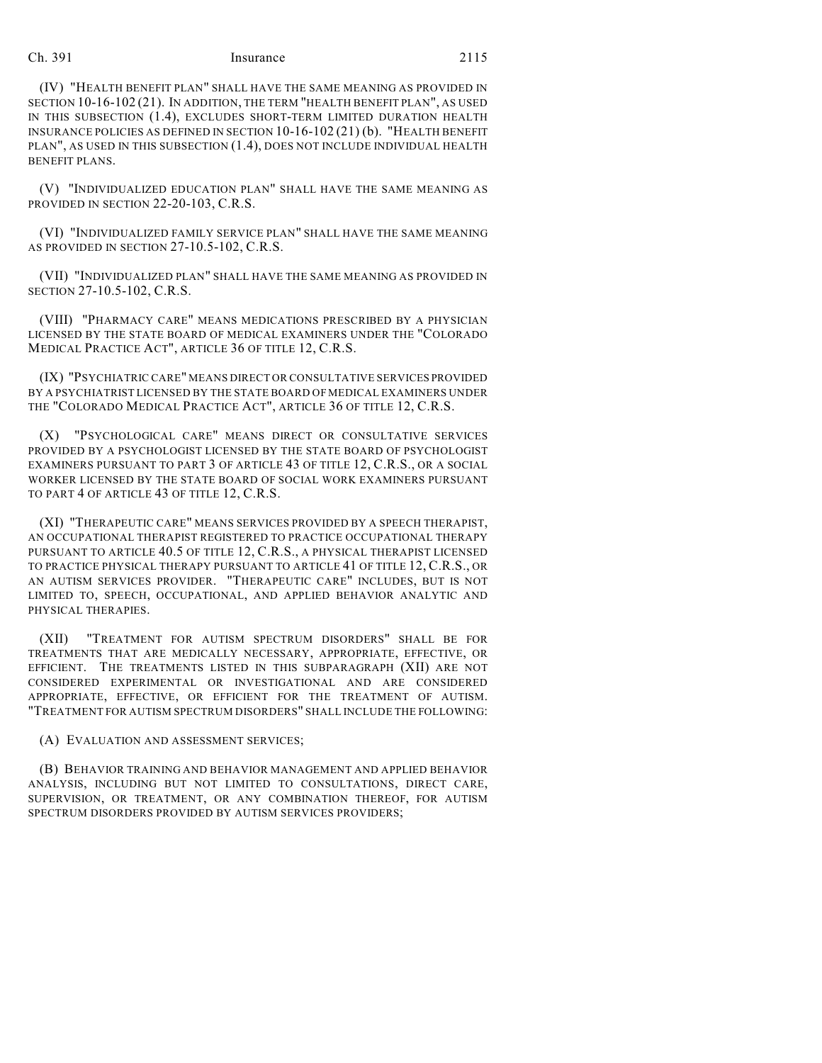## Ch. 391 Insurance 2115

(IV) "HEALTH BENEFIT PLAN" SHALL HAVE THE SAME MEANING AS PROVIDED IN SECTION 10-16-102 (21). IN ADDITION, THE TERM "HEALTH BENEFIT PLAN", AS USED IN THIS SUBSECTION (1.4), EXCLUDES SHORT-TERM LIMITED DURATION HEALTH INSURANCE POLICIES AS DEFINED IN SECTION 10-16-102 (21) (b). "HEALTH BENEFIT PLAN", AS USED IN THIS SUBSECTION (1.4), DOES NOT INCLUDE INDIVIDUAL HEALTH BENEFIT PLANS.

(V) "INDIVIDUALIZED EDUCATION PLAN" SHALL HAVE THE SAME MEANING AS PROVIDED IN SECTION 22-20-103, C.R.S.

(VI) "INDIVIDUALIZED FAMILY SERVICE PLAN" SHALL HAVE THE SAME MEANING AS PROVIDED IN SECTION 27-10.5-102, C.R.S.

(VII) "INDIVIDUALIZED PLAN" SHALL HAVE THE SAME MEANING AS PROVIDED IN SECTION 27-10.5-102, C.R.S.

(VIII) "PHARMACY CARE" MEANS MEDICATIONS PRESCRIBED BY A PHYSICIAN LICENSED BY THE STATE BOARD OF MEDICAL EXAMINERS UNDER THE "COLORADO MEDICAL PRACTICE ACT", ARTICLE 36 OF TITLE 12, C.R.S.

(IX) "PSYCHIATRIC CARE" MEANS DIRECT OR CONSULTATIVE SERVICES PROVIDED BY A PSYCHIATRIST LICENSED BY THE STATE BOARD OF MEDICAL EXAMINERS UNDER THE "COLORADO MEDICAL PRACTICE ACT", ARTICLE 36 OF TITLE 12, C.R.S.

(X) "PSYCHOLOGICAL CARE" MEANS DIRECT OR CONSULTATIVE SERVICES PROVIDED BY A PSYCHOLOGIST LICENSED BY THE STATE BOARD OF PSYCHOLOGIST EXAMINERS PURSUANT TO PART 3 OF ARTICLE 43 OF TITLE 12, C.R.S., OR A SOCIAL WORKER LICENSED BY THE STATE BOARD OF SOCIAL WORK EXAMINERS PURSUANT TO PART 4 OF ARTICLE 43 OF TITLE 12, C.R.S.

(XI) "THERAPEUTIC CARE" MEANS SERVICES PROVIDED BY A SPEECH THERAPIST, AN OCCUPATIONAL THERAPIST REGISTERED TO PRACTICE OCCUPATIONAL THERAPY PURSUANT TO ARTICLE 40.5 OF TITLE 12, C.R.S., A PHYSICAL THERAPIST LICENSED TO PRACTICE PHYSICAL THERAPY PURSUANT TO ARTICLE 41 OF TITLE 12, C.R.S., OR AN AUTISM SERVICES PROVIDER. "THERAPEUTIC CARE" INCLUDES, BUT IS NOT LIMITED TO, SPEECH, OCCUPATIONAL, AND APPLIED BEHAVIOR ANALYTIC AND PHYSICAL THERAPIES.

(XII) "TREATMENT FOR AUTISM SPECTRUM DISORDERS" SHALL BE FOR TREATMENTS THAT ARE MEDICALLY NECESSARY, APPROPRIATE, EFFECTIVE, OR EFFICIENT. THE TREATMENTS LISTED IN THIS SUBPARAGRAPH (XII) ARE NOT CONSIDERED EXPERIMENTAL OR INVESTIGATIONAL AND ARE CONSIDERED APPROPRIATE, EFFECTIVE, OR EFFICIENT FOR THE TREATMENT OF AUTISM. "TREATMENT FOR AUTISM SPECTRUM DISORDERS" SHALL INCLUDE THE FOLLOWING:

(A) EVALUATION AND ASSESSMENT SERVICES;

(B) BEHAVIOR TRAINING AND BEHAVIOR MANAGEMENT AND APPLIED BEHAVIOR ANALYSIS, INCLUDING BUT NOT LIMITED TO CONSULTATIONS, DIRECT CARE, SUPERVISION, OR TREATMENT, OR ANY COMBINATION THEREOF, FOR AUTISM SPECTRUM DISORDERS PROVIDED BY AUTISM SERVICES PROVIDERS;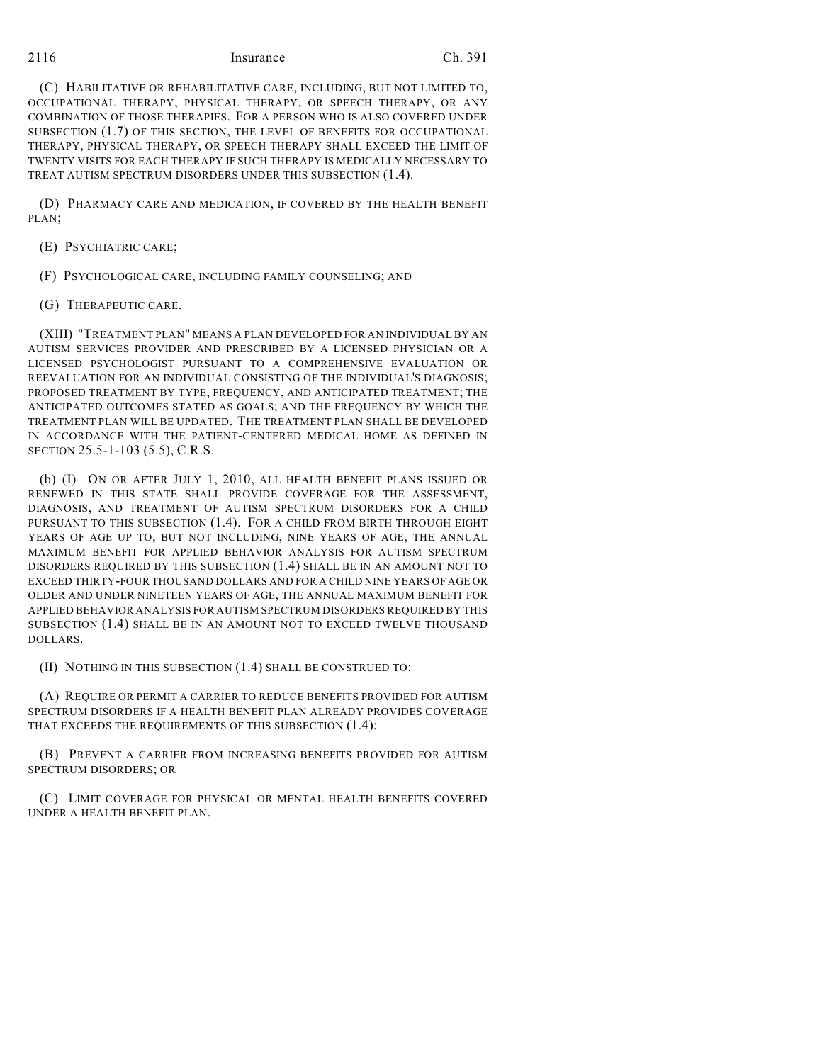## 2116 Insurance Ch. 391

(C) HABILITATIVE OR REHABILITATIVE CARE, INCLUDING, BUT NOT LIMITED TO, OCCUPATIONAL THERAPY, PHYSICAL THERAPY, OR SPEECH THERAPY, OR ANY COMBINATION OF THOSE THERAPIES. FOR A PERSON WHO IS ALSO COVERED UNDER SUBSECTION (1.7) OF THIS SECTION, THE LEVEL OF BENEFITS FOR OCCUPATIONAL THERAPY, PHYSICAL THERAPY, OR SPEECH THERAPY SHALL EXCEED THE LIMIT OF TWENTY VISITS FOR EACH THERAPY IF SUCH THERAPY IS MEDICALLY NECESSARY TO TREAT AUTISM SPECTRUM DISORDERS UNDER THIS SUBSECTION (1.4).

(D) PHARMACY CARE AND MEDICATION, IF COVERED BY THE HEALTH BENEFIT PLAN;

(E) PSYCHIATRIC CARE;

(F) PSYCHOLOGICAL CARE, INCLUDING FAMILY COUNSELING; AND

(G) THERAPEUTIC CARE.

(XIII) "TREATMENT PLAN" MEANS A PLAN DEVELOPED FOR AN INDIVIDUAL BY AN AUTISM SERVICES PROVIDER AND PRESCRIBED BY A LICENSED PHYSICIAN OR A LICENSED PSYCHOLOGIST PURSUANT TO A COMPREHENSIVE EVALUATION OR REEVALUATION FOR AN INDIVIDUAL CONSISTING OF THE INDIVIDUAL'S DIAGNOSIS; PROPOSED TREATMENT BY TYPE, FREQUENCY, AND ANTICIPATED TREATMENT; THE ANTICIPATED OUTCOMES STATED AS GOALS; AND THE FREQUENCY BY WHICH THE TREATMENT PLAN WILL BE UPDATED. THE TREATMENT PLAN SHALL BE DEVELOPED IN ACCORDANCE WITH THE PATIENT-CENTERED MEDICAL HOME AS DEFINED IN SECTION 25.5-1-103 (5.5), C.R.S.

(b) (I) ON OR AFTER JULY 1, 2010, ALL HEALTH BENEFIT PLANS ISSUED OR RENEWED IN THIS STATE SHALL PROVIDE COVERAGE FOR THE ASSESSMENT, DIAGNOSIS, AND TREATMENT OF AUTISM SPECTRUM DISORDERS FOR A CHILD PURSUANT TO THIS SUBSECTION (1.4). FOR A CHILD FROM BIRTH THROUGH EIGHT YEARS OF AGE UP TO, BUT NOT INCLUDING, NINE YEARS OF AGE, THE ANNUAL MAXIMUM BENEFIT FOR APPLIED BEHAVIOR ANALYSIS FOR AUTISM SPECTRUM DISORDERS REQUIRED BY THIS SUBSECTION (1.4) SHALL BE IN AN AMOUNT NOT TO EXCEED THIRTY-FOUR THOUSAND DOLLARS AND FOR A CHILD NINE YEARS OF AGE OR OLDER AND UNDER NINETEEN YEARS OF AGE, THE ANNUAL MAXIMUM BENEFIT FOR APPLIED BEHAVIOR ANALYSIS FOR AUTISM SPECTRUM DISORDERS REQUIRED BY THIS SUBSECTION (1.4) SHALL BE IN AN AMOUNT NOT TO EXCEED TWELVE THOUSAND DOLLARS.

(II) NOTHING IN THIS SUBSECTION (1.4) SHALL BE CONSTRUED TO:

(A) REQUIRE OR PERMIT A CARRIER TO REDUCE BENEFITS PROVIDED FOR AUTISM SPECTRUM DISORDERS IF A HEALTH BENEFIT PLAN ALREADY PROVIDES COVERAGE THAT EXCEEDS THE REQUIREMENTS OF THIS SUBSECTION (1.4);

(B) PREVENT A CARRIER FROM INCREASING BENEFITS PROVIDED FOR AUTISM SPECTRUM DISORDERS; OR

(C) LIMIT COVERAGE FOR PHYSICAL OR MENTAL HEALTH BENEFITS COVERED UNDER A HEALTH BENEFIT PLAN.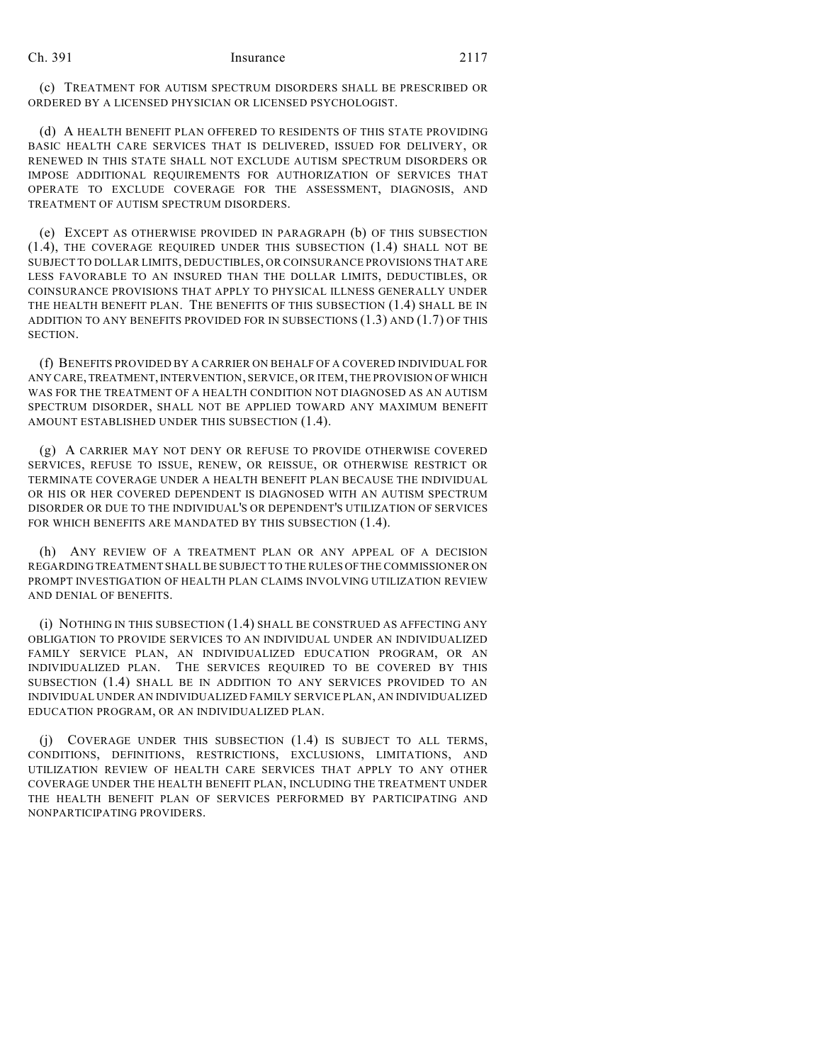#### Ch. 391 Insurance 2117

(c) TREATMENT FOR AUTISM SPECTRUM DISORDERS SHALL BE PRESCRIBED OR ORDERED BY A LICENSED PHYSICIAN OR LICENSED PSYCHOLOGIST.

(d) A HEALTH BENEFIT PLAN OFFERED TO RESIDENTS OF THIS STATE PROVIDING BASIC HEALTH CARE SERVICES THAT IS DELIVERED, ISSUED FOR DELIVERY, OR RENEWED IN THIS STATE SHALL NOT EXCLUDE AUTISM SPECTRUM DISORDERS OR IMPOSE ADDITIONAL REQUIREMENTS FOR AUTHORIZATION OF SERVICES THAT OPERATE TO EXCLUDE COVERAGE FOR THE ASSESSMENT, DIAGNOSIS, AND TREATMENT OF AUTISM SPECTRUM DISORDERS.

(e) EXCEPT AS OTHERWISE PROVIDED IN PARAGRAPH (b) OF THIS SUBSECTION (1.4), THE COVERAGE REQUIRED UNDER THIS SUBSECTION (1.4) SHALL NOT BE SUBJECT TO DOLLAR LIMITS, DEDUCTIBLES, OR COINSURANCE PROVISIONS THAT ARE LESS FAVORABLE TO AN INSURED THAN THE DOLLAR LIMITS, DEDUCTIBLES, OR COINSURANCE PROVISIONS THAT APPLY TO PHYSICAL ILLNESS GENERALLY UNDER THE HEALTH BENEFIT PLAN. THE BENEFITS OF THIS SUBSECTION (1.4) SHALL BE IN ADDITION TO ANY BENEFITS PROVIDED FOR IN SUBSECTIONS (1.3) AND (1.7) OF THIS SECTION.

(f) BENEFITS PROVIDED BY A CARRIER ON BEHALF OF A COVERED INDIVIDUAL FOR ANY CARE, TREATMENT, INTERVENTION, SERVICE, OR ITEM, THE PROVISION OF WHICH WAS FOR THE TREATMENT OF A HEALTH CONDITION NOT DIAGNOSED AS AN AUTISM SPECTRUM DISORDER, SHALL NOT BE APPLIED TOWARD ANY MAXIMUM BENEFIT AMOUNT ESTABLISHED UNDER THIS SUBSECTION (1.4).

(g) A CARRIER MAY NOT DENY OR REFUSE TO PROVIDE OTHERWISE COVERED SERVICES, REFUSE TO ISSUE, RENEW, OR REISSUE, OR OTHERWISE RESTRICT OR TERMINATE COVERAGE UNDER A HEALTH BENEFIT PLAN BECAUSE THE INDIVIDUAL OR HIS OR HER COVERED DEPENDENT IS DIAGNOSED WITH AN AUTISM SPECTRUM DISORDER OR DUE TO THE INDIVIDUAL'S OR DEPENDENT'S UTILIZATION OF SERVICES FOR WHICH BENEFITS ARE MANDATED BY THIS SUBSECTION (1.4).

(h) ANY REVIEW OF A TREATMENT PLAN OR ANY APPEAL OF A DECISION REGARDING TREATMENT SHALL BE SUBJECT TO THE RULES OF THE COMMISSIONER ON PROMPT INVESTIGATION OF HEALTH PLAN CLAIMS INVOLVING UTILIZATION REVIEW AND DENIAL OF BENEFITS.

(i) NOTHING IN THIS SUBSECTION (1.4) SHALL BE CONSTRUED AS AFFECTING ANY OBLIGATION TO PROVIDE SERVICES TO AN INDIVIDUAL UNDER AN INDIVIDUALIZED FAMILY SERVICE PLAN, AN INDIVIDUALIZED EDUCATION PROGRAM, OR AN INDIVIDUALIZED PLAN. THE SERVICES REQUIRED TO BE COVERED BY THIS SUBSECTION (1.4) SHALL BE IN ADDITION TO ANY SERVICES PROVIDED TO AN INDIVIDUAL UNDER AN INDIVIDUALIZED FAMILY SERVICE PLAN, AN INDIVIDUALIZED EDUCATION PROGRAM, OR AN INDIVIDUALIZED PLAN.

(j) COVERAGE UNDER THIS SUBSECTION (1.4) IS SUBJECT TO ALL TERMS, CONDITIONS, DEFINITIONS, RESTRICTIONS, EXCLUSIONS, LIMITATIONS, AND UTILIZATION REVIEW OF HEALTH CARE SERVICES THAT APPLY TO ANY OTHER COVERAGE UNDER THE HEALTH BENEFIT PLAN, INCLUDING THE TREATMENT UNDER THE HEALTH BENEFIT PLAN OF SERVICES PERFORMED BY PARTICIPATING AND NONPARTICIPATING PROVIDERS.